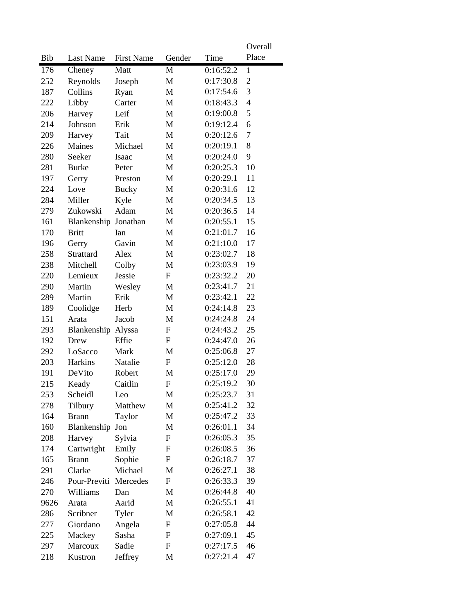|      |                       |                   |                           |           | Overall                  |
|------|-----------------------|-------------------|---------------------------|-----------|--------------------------|
| Bib  | Last Name             | <b>First Name</b> | Gender                    | Time      | Place                    |
| 176  | Cheney                | Matt              | M                         | 0:16:52.2 | $\mathbf{1}$             |
| 252  | Reynolds              | Joseph            | M                         | 0:17:30.8 | $\mathbf{2}$             |
| 187  | Collins               | Ryan              | M                         | 0:17:54.6 | 3                        |
| 222  | Libby                 | Carter            | M                         | 0:18:43.3 | $\overline{\mathcal{L}}$ |
| 206  | Harvey                | Leif              | M                         | 0:19:00.8 | 5                        |
| 214  | Johnson               | Erik              | M                         | 0:19:12.4 | 6                        |
| 209  | Harvey                | Tait              | M                         | 0:20:12.6 | 7                        |
| 226  | Maines                | Michael           | M                         | 0:20:19.1 | 8                        |
| 280  | Seeker                | Isaac             | M                         | 0:20:24.0 | 9                        |
| 281  | <b>Burke</b>          | Peter             | M                         | 0:20:25.3 | 10                       |
| 197  | Gerry                 | Preston           | M                         | 0:20:29.1 | 11                       |
| 224  | Love                  | <b>Bucky</b>      | M                         | 0:20:31.6 | 12                       |
| 284  | Miller                | Kyle              | M                         | 0:20:34.5 | 13                       |
| 279  | Zukowski              | Adam              | M                         | 0:20:36.5 | 14                       |
| 161  | Blankenship Jonathan  |                   | M                         | 0:20:55.1 | 15                       |
| 170  | <b>Britt</b>          | Ian               | M                         | 0:21:01.7 | 16                       |
| 196  | Gerry                 | Gavin             | M                         | 0:21:10.0 | 17                       |
| 258  | Strattard             | Alex              | M                         | 0:23:02.7 | 18                       |
| 238  | Mitchell              | Colby             | M                         | 0:23:03.9 | 19                       |
| 220  | Lemieux               | Jessie            | $\mathbf F$               | 0:23:32.2 | 20                       |
| 290  | Martin                | Wesley            | M                         | 0:23:41.7 | 21                       |
| 289  | Martin                | Erik              | M                         | 0:23:42.1 | 22                       |
| 189  | Coolidge              | Herb              | M                         | 0:24:14.8 | 23                       |
| 151  | Arata                 | Jacob             | M                         | 0:24:24.8 | 24                       |
| 293  | Blankenship Alyssa    |                   | F                         | 0:24:43.2 | 25                       |
| 192  | Drew                  | Effie             | ${\bf F}$                 | 0:24:47.0 | 26                       |
| 292  | LoSacco               | Mark              | M                         | 0:25:06.8 | 27                       |
| 203  | Harkins               | Natalie           | F                         | 0:25:12.0 | 28                       |
| 191  | DeVito                | Robert            | M                         | 0:25:17.0 | 29                       |
| 215  | Keady                 | Caitlin           | F                         | 0:25:19.2 | 30                       |
| 253  | Scheidl               | Leo               | M                         | 0:25:23.7 | 31                       |
| 278  | Tilbury               | Matthew           | M                         | 0:25:41.2 | 32                       |
| 164  | <b>Brann</b>          | Taylor            | M                         | 0:25:47.2 | 33                       |
| 160  | Blankenship Jon       |                   | M                         | 0:26:01.1 | 34                       |
| 208  | Harvey                | Sylvia            | $\boldsymbol{\mathrm{F}}$ | 0:26:05.3 | 35                       |
| 174  | Cartwright            | Emily             | F                         | 0:26:08.5 | 36                       |
| 165  | <b>Brann</b>          | Sophie            | $\boldsymbol{\mathrm{F}}$ | 0:26:18.7 | 37                       |
| 291  | Clarke                | Michael           | M                         | 0:26:27.1 | 38                       |
| 246  | Pour-Previti Mercedes |                   | $\boldsymbol{\mathrm{F}}$ | 0:26:33.3 | 39                       |
| 270  | Williams              | Dan               | M                         | 0:26:44.8 | 40                       |
| 9626 | Arata                 | Aarid             | M                         | 0:26:55.1 | 41                       |
| 286  | Scribner              | Tyler             | M                         | 0:26:58.1 | 42                       |
| 277  | Giordano              | Angela            | F                         | 0:27:05.8 | 44                       |
| 225  | Mackey                | Sasha             | F                         | 0:27:09.1 | 45                       |
| 297  | Marcoux               | Sadie             | $\boldsymbol{\mathrm{F}}$ | 0:27:17.5 | 46                       |
| 218  | Kustron               | Jeffrey           | M                         | 0:27:21.4 | 47                       |
|      |                       |                   |                           |           |                          |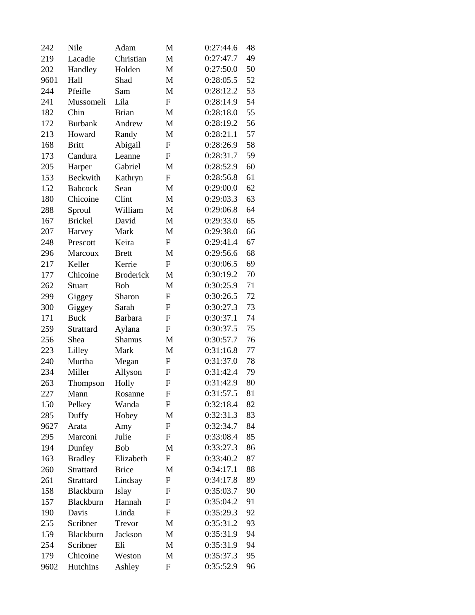| 242  | Nile           | Adam             | M                         | 0:27:44.6 | 48 |
|------|----------------|------------------|---------------------------|-----------|----|
| 219  | Lacadie        | Christian        | M                         | 0:27:47.7 | 49 |
| 202  | Handley        | Holden           | M                         | 0:27:50.0 | 50 |
| 9601 | Hall           | Shad             | M                         | 0:28:05.5 | 52 |
| 244  | Pfeifle        | Sam              | M                         | 0:28:12.2 | 53 |
| 241  | Mussomeli      | Lila             | $\mathbf F$               | 0:28:14.9 | 54 |
| 182  | Chin           | <b>Brian</b>     | M                         | 0:28:18.0 | 55 |
| 172  | <b>Burbank</b> | Andrew           | M                         | 0:28:19.2 | 56 |
| 213  | Howard         | Randy            | M                         | 0:28:21.1 | 57 |
| 168  | <b>Britt</b>   | Abigail          | ${\rm F}$                 | 0:28:26.9 | 58 |
| 173  | Candura        | Leanne           | F                         | 0:28:31.7 | 59 |
| 205  | Harper         | Gabriel          | M                         | 0:28:52.9 | 60 |
| 153  | Beckwith       | Kathryn          | $\boldsymbol{\mathrm{F}}$ | 0:28:56.8 | 61 |
| 152  | <b>Babcock</b> | Sean             | M                         | 0:29:00.0 | 62 |
| 180  | Chicoine       | Clint            | M                         | 0:29:03.3 | 63 |
| 288  | Sproul         | William          | M                         | 0:29:06.8 | 64 |
| 167  | <b>Brickel</b> | David            | M                         | 0:29:33.0 | 65 |
| 207  | Harvey         | Mark             | M                         | 0:29:38.0 | 66 |
| 248  | Prescott       | Keira            | ${\rm F}$                 | 0:29:41.4 | 67 |
| 296  | Marcoux        | <b>Brett</b>     | M                         | 0:29:56.6 | 68 |
| 217  | Keller         | Kerrie           | ${\bf F}$                 | 0:30:06.5 | 69 |
| 177  | Chicoine       | <b>Broderick</b> | M                         | 0:30:19.2 | 70 |
| 262  | Stuart         | Bob              | M                         | 0:30:25.9 | 71 |
| 299  | Giggey         | Sharon           | ${\rm F}$                 | 0:30:26.5 | 72 |
| 300  | Giggey         | Sarah            | F                         | 0:30:27.3 | 73 |
| 171  | <b>Buck</b>    | <b>Barbara</b>   | $\mathbf F$               | 0:30:37.1 | 74 |
| 259  | Strattard      | Aylana           | ${\rm F}$                 | 0:30:37.5 | 75 |
| 256  | Shea           | <b>Shamus</b>    | M                         | 0:30:57.7 | 76 |
| 223  | Lilley         | Mark             | M                         | 0:31:16.8 | 77 |
| 240  | Murtha         | Megan            | $\mathbf F$               | 0:31:37.0 | 78 |
| 234  | Miller         | Allyson          | ${\rm F}$                 | 0:31:42.4 | 79 |
| 263  | Thompson       | Holly            | $\mathbf F$               | 0:31:42.9 | 80 |
| 227  | Mann           | Rosanne          | F                         | 0:31:57.5 | 81 |
| 150  | Pelkey         | Wanda            | F                         | 0:32:18.4 | 82 |
| 285  | Duffy          | Hobey            | M                         | 0:32:31.3 | 83 |
| 9627 | Arata          | Amy              | $\boldsymbol{\mathrm{F}}$ | 0:32:34.7 | 84 |
| 295  | Marconi        | Julie            | $\boldsymbol{\mathrm{F}}$ | 0:33:08.4 | 85 |
| 194  | Dunfey         | Bob              | M                         | 0:33:27.3 | 86 |
| 163  | <b>Bradley</b> | Elizabeth        | F                         | 0:33:40.2 | 87 |
| 260  | Strattard      | <b>Brice</b>     | M                         | 0:34:17.1 | 88 |
| 261  | Strattard      | Lindsay          | $\boldsymbol{\mathrm{F}}$ | 0:34:17.8 | 89 |
| 158  | Blackburn      | Islay            | F                         | 0:35:03.7 | 90 |
| 157  | Blackburn      | Hannah           | $\mathbf F$               | 0:35:04.2 | 91 |
| 190  | Davis          | Linda            | $\mathbf F$               | 0:35:29.3 | 92 |
| 255  | Scribner       | Trevor           | M                         | 0:35:31.2 | 93 |
| 159  | Blackburn      | Jackson          | M                         | 0:35:31.9 | 94 |
| 254  | Scribner       | Eli              | M                         | 0:35:31.9 | 94 |
| 179  | Chicoine       | Weston           | M                         | 0:35:37.3 | 95 |
| 9602 | Hutchins       | Ashley           | F                         | 0:35:52.9 | 96 |
|      |                |                  |                           |           |    |